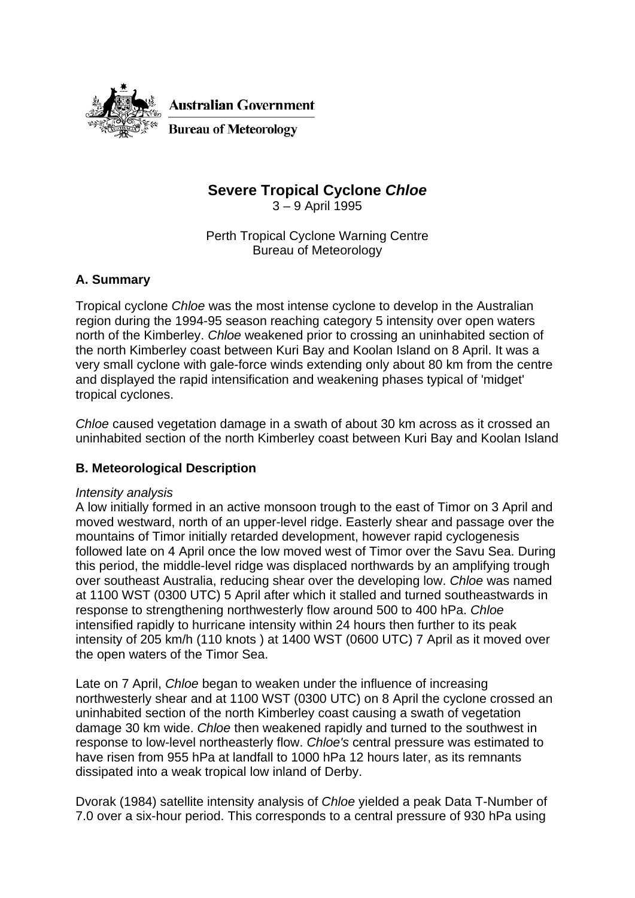

# **Severe Tropical Cyclone** *Chloe*

3 – 9 April 1995

Perth Tropical Cyclone Warning Centre Bureau of Meteorology

## **A. Summary**

Tropical cyclone *Chloe* was the most intense cyclone to develop in the Australian region during the 1994-95 season reaching category 5 intensity over open waters north of the Kimberley. *Chloe* weakened prior to crossing an uninhabited section of the north Kimberley coast between Kuri Bay and Koolan Island on 8 April. It was a very small cyclone with gale-force winds extending only about 80 km from the centre and displayed the rapid intensification and weakening phases typical of 'midget' tropical cyclones.

*Chloe* caused vegetation damage in a swath of about 30 km across as it crossed an uninhabited section of the north Kimberley coast between Kuri Bay and Koolan Island

## **B. Meteorological Description**

#### *Intensity analysis*

A low initially formed in an active monsoon trough to the east of Timor on 3 April and moved westward, north of an upper-level ridge. Easterly shear and passage over the mountains of Timor initially retarded development, however rapid cyclogenesis followed late on 4 April once the low moved west of Timor over the Savu Sea. During this period, the middle-level ridge was displaced northwards by an amplifying trough over southeast Australia, reducing shear over the developing low. *Chloe* was named at 1100 WST (0300 UTC) 5 April after which it stalled and turned southeastwards in response to strengthening northwesterly flow around 500 to 400 hPa. *Chloe*  intensified rapidly to hurricane intensity within 24 hours then further to its peak intensity of 205 km/h (110 knots ) at 1400 WST (0600 UTC) 7 April as it moved over the open waters of the Timor Sea.

Late on 7 April, *Chloe* began to weaken under the influence of increasing northwesterly shear and at 1100 WST (0300 UTC) on 8 April the cyclone crossed an uninhabited section of the north Kimberley coast causing a swath of vegetation damage 30 km wide. *Chloe* then weakened rapidly and turned to the southwest in response to low-level northeasterly flow. *Chloe's* central pressure was estimated to have risen from 955 hPa at landfall to 1000 hPa 12 hours later, as its remnants dissipated into a weak tropical low inland of Derby.

Dvorak (1984) satellite intensity analysis of *Chloe* yielded a peak Data T-Number of 7.0 over a six-hour period. This corresponds to a central pressure of 930 hPa using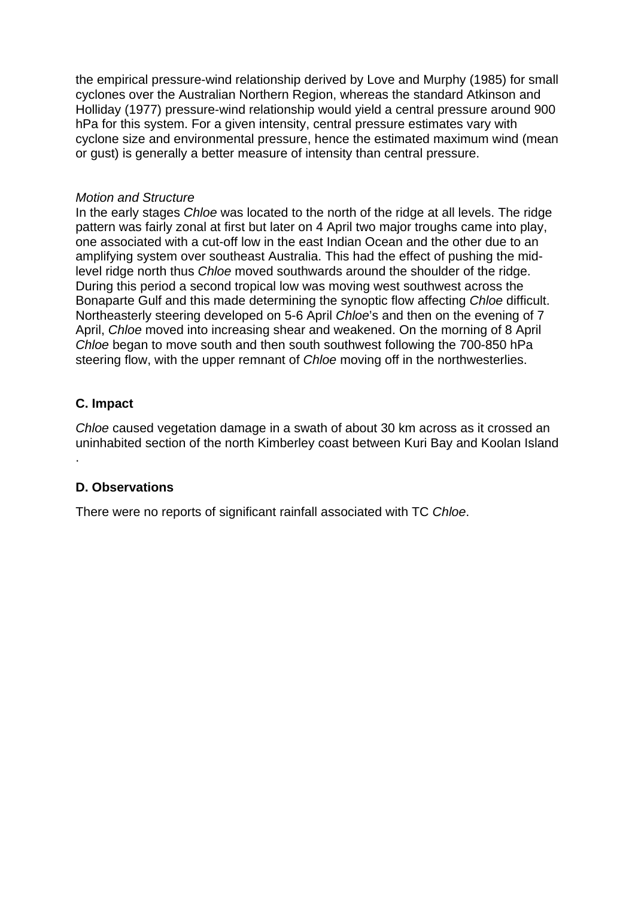the empirical pressure-wind relationship derived by Love and Murphy (1985) for small cyclones over the Australian Northern Region, whereas the standard Atkinson and Holliday (1977) pressure-wind relationship would yield a central pressure around 900 hPa for this system. For a given intensity, central pressure estimates vary with cyclone size and environmental pressure, hence the estimated maximum wind (mean or gust) is generally a better measure of intensity than central pressure.

#### *Motion and Structure*

In the early stages *Chloe* was located to the north of the ridge at all levels. The ridge pattern was fairly zonal at first but later on 4 April two major troughs came into play, one associated with a cut-off low in the east Indian Ocean and the other due to an amplifying system over southeast Australia. This had the effect of pushing the midlevel ridge north thus *Chloe* moved southwards around the shoulder of the ridge. During this period a second tropical low was moving west southwest across the Bonaparte Gulf and this made determining the synoptic flow affecting *Chloe* difficult. Northeasterly steering developed on 5-6 April *Chloe*'s and then on the evening of 7 April, *Chloe* moved into increasing shear and weakened. On the morning of 8 April *Chloe* began to move south and then south southwest following the 700-850 hPa steering flow, with the upper remnant of *Chloe* moving off in the northwesterlies.

## **C. Impact**

.

*Chloe* caused vegetation damage in a swath of about 30 km across as it crossed an uninhabited section of the north Kimberley coast between Kuri Bay and Koolan Island

#### **D. Observations**

There were no reports of significant rainfall associated with TC *Chloe*.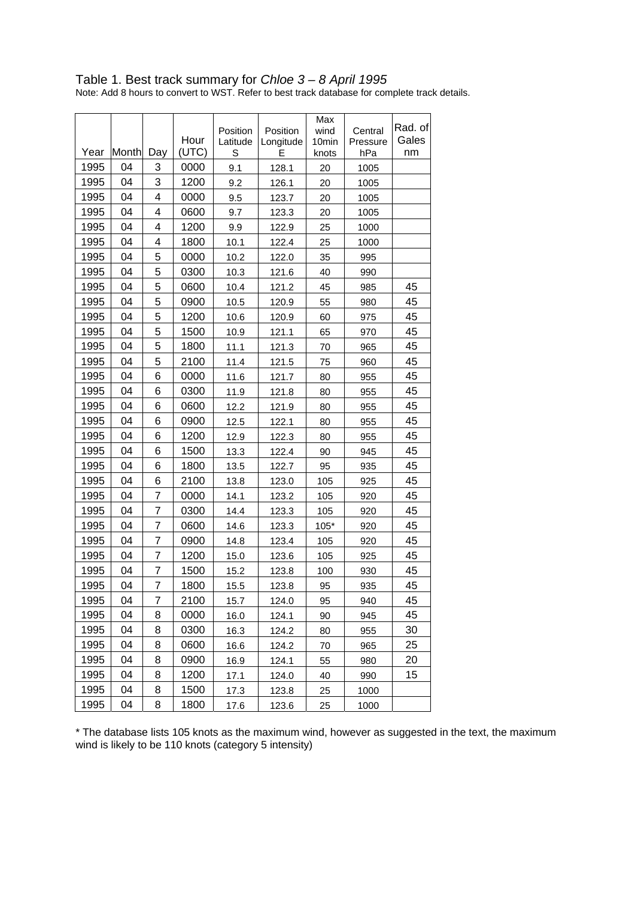| Table 1. Best track summary for Chloe 3 – 8 April 1995                                        |  |
|-----------------------------------------------------------------------------------------------|--|
| Note: Add 8 hours to convert to WST. Refer to best track database for complete track details. |  |

|      |       |                | Hour  | Position<br>Latitude | Position<br>Longitude | Max<br>wind<br>10 <sub>min</sub> | Central<br>Pressure | Rad. of<br>Gales |
|------|-------|----------------|-------|----------------------|-----------------------|----------------------------------|---------------------|------------------|
| Year | Month | Day            | (UTC) | S                    | E                     | knots                            | hPa                 | nm               |
| 1995 | 04    | 3              | 0000  | 9.1                  | 128.1                 | 20                               | 1005                |                  |
| 1995 | 04    | 3              | 1200  | 9.2                  | 126.1                 | 20                               | 1005                |                  |
| 1995 | 04    | 4              | 0000  | 9.5                  | 123.7                 | 20                               | 1005                |                  |
| 1995 | 04    | 4              | 0600  | 9.7                  | 123.3                 | 20                               | 1005                |                  |
| 1995 | 04    | 4              | 1200  | 9.9                  | 122.9                 | 25                               | 1000                |                  |
| 1995 | 04    | 4              | 1800  | 10.1                 | 122.4                 | 25                               | 1000                |                  |
| 1995 | 04    | 5              | 0000  | 10.2                 | 122.0                 | 35                               | 995                 |                  |
| 1995 | 04    | 5              | 0300  | 10.3                 | 121.6                 | 40                               | 990                 |                  |
| 1995 | 04    | 5              | 0600  | 10.4                 | 121.2                 | 45                               | 985                 | 45               |
| 1995 | 04    | 5              | 0900  | 10.5                 | 120.9                 | 55                               | 980                 | 45               |
| 1995 | 04    | 5              | 1200  | 10.6                 | 120.9                 | 60                               | 975                 | 45               |
| 1995 | 04    | 5              | 1500  | 10.9                 | 121.1                 | 65                               | 970                 | 45               |
| 1995 | 04    | 5              | 1800  | 11.1                 | 121.3                 | 70                               | 965                 | 45               |
| 1995 | 04    | 5              | 2100  | 11.4                 | 121.5                 | 75                               | 960                 | 45               |
| 1995 | 04    | 6              | 0000  | 11.6                 | 121.7                 | 80                               | 955                 | 45               |
| 1995 | 04    | 6              | 0300  | 11.9                 | 121.8                 | 80                               | 955                 | 45               |
| 1995 | 04    | 6              | 0600  | 12.2                 | 121.9                 | 80                               | 955                 | 45               |
| 1995 | 04    | 6              | 0900  | 12.5                 | 122.1                 | 80                               | 955                 | 45               |
| 1995 | 04    | 6              | 1200  | 12.9                 | 122.3                 | 80                               | 955                 | 45               |
| 1995 | 04    | 6              | 1500  | 13.3                 | 122.4                 | 90                               | 945                 | 45               |
| 1995 | 04    | 6              | 1800  | 13.5                 | 122.7                 | 95                               | 935                 | 45               |
| 1995 | 04    | 6              | 2100  | 13.8                 | 123.0                 | 105                              | 925                 | 45               |
| 1995 | 04    | 7              | 0000  | 14.1                 | 123.2                 | 105                              | 920                 | 45               |
| 1995 | 04    | $\overline{7}$ | 0300  | 14.4                 | 123.3                 | 105                              | 920                 | 45               |
| 1995 | 04    | 7              | 0600  | 14.6                 | 123.3                 | $105*$                           | 920                 | 45               |
| 1995 | 04    | 7              | 0900  | 14.8                 | 123.4                 | 105                              | 920                 | 45               |
| 1995 | 04    | 7              | 1200  | 15.0                 | 123.6                 | 105                              | 925                 | 45               |
| 1995 | 04    | 7              | 1500  | 15.2                 | 123.8                 | 100                              | 930                 | 45               |
| 1995 | 04    | $\overline{7}$ | 1800  | 15.5                 | 123.8                 | 95                               | 935                 | 45               |
| 1995 | 04    | $\overline{7}$ | 2100  | 15.7                 | 124.0                 | 95                               | 940                 | 45               |
| 1995 | 04    | 8              | 0000  | 16.0                 | 124.1                 | 90                               | 945                 | 45               |
| 1995 | 04    | 8              | 0300  | 16.3                 | 124.2                 | 80                               | 955                 | 30               |
| 1995 | 04    | 8              | 0600  | 16.6                 | 124.2                 | 70                               | 965                 | 25               |
| 1995 | 04    | 8              | 0900  | 16.9                 | 124.1                 | 55                               | 980                 | 20               |
| 1995 | 04    | 8              | 1200  | 17.1                 | 124.0                 | 40                               | 990                 | 15               |
| 1995 | 04    | 8              | 1500  | 17.3                 | 123.8                 | 25                               | 1000                |                  |
| 1995 | 04    | 8              | 1800  | 17.6                 | 123.6                 | 25                               | 1000                |                  |

\* The database lists 105 knots as the maximum wind, however as suggested in the text, the maximum wind is likely to be 110 knots (category 5 intensity)